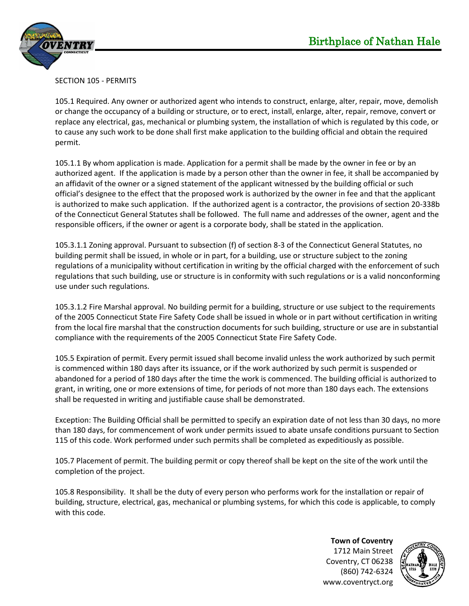

## SECTION 105 - PERMITS

105.1 Required. Any owner or authorized agent who intends to construct, enlarge, alter, repair, move, demolish or change the occupancy of a building or structure, or to erect, install, enlarge, alter, repair, remove, convert or replace any electrical, gas, mechanical or plumbing system, the installation of which is regulated by this code, or to cause any such work to be done shall first make application to the building official and obtain the required permit.

105.1.1 By whom application is made. Application for a permit shall be made by the owner in fee or by an authorized agent. If the application is made by a person other than the owner in fee, it shall be accompanied by an affidavit of the owner or a signed statement of the applicant witnessed by the building official or such official's designee to the effect that the proposed work is authorized by the owner in fee and that the applicant is authorized to make such application. If the authorized agent is a contractor, the provisions of section 20-338b of the Connecticut General Statutes shall be followed. The full name and addresses of the owner, agent and the responsible officers, if the owner or agent is a corporate body, shall be stated in the application.

105.3.1.1 Zoning approval. Pursuant to subsection (f) of section 8-3 of the Connecticut General Statutes, no building permit shall be issued, in whole or in part, for a building, use or structure subject to the zoning regulations of a municipality without certification in writing by the official charged with the enforcement of such regulations that such building, use or structure is in conformity with such regulations or is a valid nonconforming use under such regulations.

105.3.1.2 Fire Marshal approval. No building permit for a building, structure or use subject to the requirements of the 2005 Connecticut State Fire Safety Code shall be issued in whole or in part without certification in writing from the local fire marshal that the construction documents for such building, structure or use are in substantial compliance with the requirements of the 2005 Connecticut State Fire Safety Code.

105.5 Expiration of permit. Every permit issued shall become invalid unless the work authorized by such permit is commenced within 180 days after its issuance, or if the work authorized by such permit is suspended or abandoned for a period of 180 days after the time the work is commenced. The building official is authorized to grant, in writing, one or more extensions of time, for periods of not more than 180 days each. The extensions shall be requested in writing and justifiable cause shall be demonstrated.

Exception: The Building Official shall be permitted to specify an expiration date of not less than 30 days, no more than 180 days, for commencement of work under permits issued to abate unsafe conditions pursuant to Section 115 of this code. Work performed under such permits shall be completed as expeditiously as possible.

105.7 Placement of permit. The building permit or copy thereof shall be kept on the site of the work until the completion of the project.

105.8 Responsibility. It shall be the duty of every person who performs work for the installation or repair of building, structure, electrical, gas, mechanical or plumbing systems, for which this code is applicable, to comply with this code.

> **Town of Coventry** 1712 Main Street Coventry, CT 06238 (860) 742-6324 www.coventryct.org

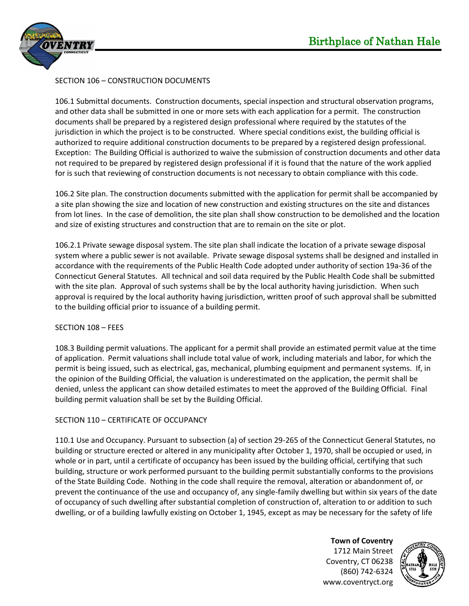



## SECTION 106 – CONSTRUCTION DOCUMENTS

106.1 Submittal documents. Construction documents, special inspection and structural observation programs, and other data shall be submitted in one or more sets with each application for a permit. The construction documents shall be prepared by a registered design professional where required by the statutes of the jurisdiction in which the project is to be constructed. Where special conditions exist, the building official is authorized to require additional construction documents to be prepared by a registered design professional. Exception: The Building Official is authorized to waive the submission of construction documents and other data not required to be prepared by registered design professional if it is found that the nature of the work applied for is such that reviewing of construction documents is not necessary to obtain compliance with this code.

106.2 Site plan. The construction documents submitted with the application for permit shall be accompanied by a site plan showing the size and location of new construction and existing structures on the site and distances from lot lines. In the case of demolition, the site plan shall show construction to be demolished and the location and size of existing structures and construction that are to remain on the site or plot.

106.2.1 Private sewage disposal system. The site plan shall indicate the location of a private sewage disposal system where a public sewer is not available. Private sewage disposal systems shall be designed and installed in accordance with the requirements of the Public Health Code adopted under authority of section 19a-36 of the Connecticut General Statutes. All technical and soil data required by the Public Health Code shall be submitted with the site plan. Approval of such systems shall be by the local authority having jurisdiction. When such approval is required by the local authority having jurisdiction, written proof of such approval shall be submitted to the building official prior to issuance of a building permit.

## SECTION 108 – FEES

108.3 Building permit valuations. The applicant for a permit shall provide an estimated permit value at the time of application. Permit valuations shall include total value of work, including materials and labor, for which the permit is being issued, such as electrical, gas, mechanical, plumbing equipment and permanent systems. If, in the opinion of the Building Official, the valuation is underestimated on the application, the permit shall be denied, unless the applicant can show detailed estimates to meet the approved of the Building Official. Final building permit valuation shall be set by the Building Official.

## SECTION 110 – CERTIFICATE OF OCCUPANCY

110.1 Use and Occupancy. Pursuant to subsection (a) of section 29-265 of the Connecticut General Statutes, no building or structure erected or altered in any municipality after October 1, 1970, shall be occupied or used, in whole or in part, until a certificate of occupancy has been issued by the building official, certifying that such building, structure or work performed pursuant to the building permit substantially conforms to the provisions of the State Building Code. Nothing in the code shall require the removal, alteration or abandonment of, or prevent the continuance of the use and occupancy of, any single-family dwelling but within six years of the date of occupancy of such dwelling after substantial completion of construction of, alteration to or addition to such dwelling, or of a building lawfully existing on October 1, 1945, except as may be necessary for the safety of life

> **Town of Coventry** 1712 Main Street Coventry, CT 06238 (860) 742-6324 www.coventryct.org